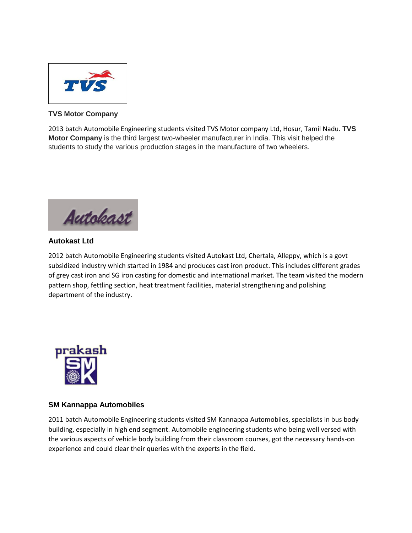

## **TVS Motor Company**

2013 batch Automobile Engineering students visited TVS Motor company Ltd, Hosur, Tamil Nadu. **TVS Motor Company** is the third largest two-wheeler manufacturer in India. This visit helped the students to study the various production stages in the manufacture of two wheelers.

Autokast

## **Autokast Ltd**

2012 batch Automobile Engineering students visited Autokast Ltd, Chertala, Alleppy, which is a govt subsidized industry which started in 1984 and produces cast iron product. This includes different grades of grey cast iron and SG iron casting for domestic and international market. The team visited the modern pattern shop, fettling section, heat treatment facilities, material strengthening and polishing department of the industry.



## **SM Kannappa Automobiles**

2011 batch Automobile Engineering students visited SM Kannappa Automobiles, specialists in bus body building, especially in high end segment. Automobile engineering students who being well versed with the various aspects of vehicle body building from their classroom courses, got the necessary hands-on experience and could clear their queries with the experts in the field.